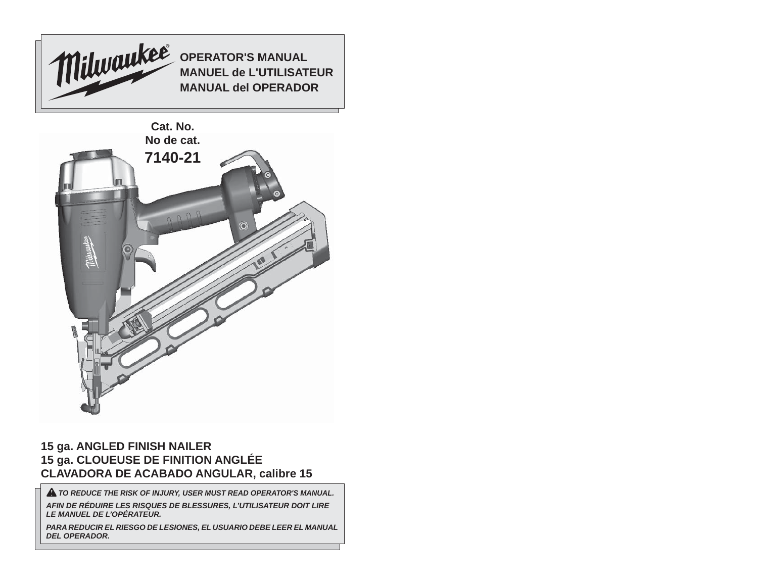

## **15 ga. ANGLED FINISH NAILER 15 ga. CLOUEUSE DE FINITION ANGLÉE CLAVADORA DE ACABADO ANGULAR, calibre 15**

 *TO REDUCE THE RISK OF INJURY, USER MUST READ OPERATOR'S MANUAL.*

*AFIN DE RÉDUIRE LES RISQUES DE BLESSURES, L'UTILISATEUR DOIT LIRE LE MANUEL DE L'OPÉRATEUR.*

*PARA REDUCIR EL RIESGO DE LESIONES, EL USUARIO DEBE LEER EL MANUAL DEL OPERADOR.*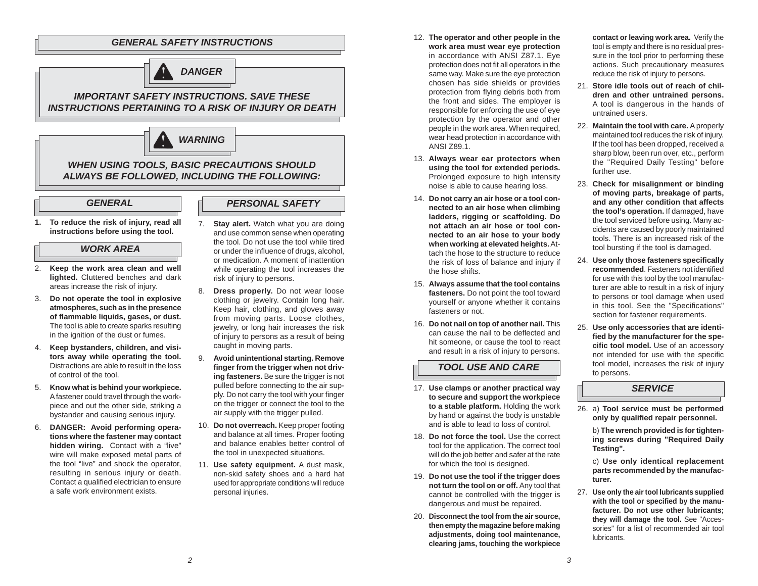## *GENERAL SAFETY INSTRUCTIONS*



## *IMPORTANT SAFETY INSTRUCTIONS. SAVE THESE INSTRUCTIONS PERTAINING TO A RISK OF INJURY OR DEATH*



## *WHEN USING TOOLS, BASIC PRECAUTIONS SHOULD ALWAYS BE FOLLOWED, INCLUDING THE FOLLOWING:*

#### *GENERAL*

#### *PERSONAL SAFETY*

**1. To reduce the risk of injury, read all instructions before using the tool.**

## *WORK AREA*

- 2. **Keep the work area clean and well lighted.** Cluttered benches and dark areas increase the risk of injury.
- 3. **Do not operate the tool in explosive atmospheres, such as in the presence of fl ammable liquids, gases, or dust.**  The tool is able to create sparks resulting in the ignition of the dust or fumes.
- 4. **Keep bystanders, children, and visitors away while operating the tool.**  Distractions are able to result in the loss of control of the tool.
- 5. **Know what is behind your workpiece.** A fastener could travel through the workpiece and out the other side, striking a bystander and causing serious injury.
- 6. **DANGER: Avoid performing operations where the fastener may contact hidden wiring.** Contact with a "live" wire will make exposed metal parts of the tool "live" and shock the operator, resulting in serious injury or death. Contact a qualified electrician to ensure a safe work environment exists.
- 7. **Stay alert.** Watch what you are doing and use common sense when operating the tool. Do not use the tool while tired or under the influence of drugs, alcohol. or medication. A moment of inattention while operating the tool increases the risk of injury to persons.
- 8. **Dress properly.** Do not wear loose clothing or jewelry. Contain long hair. Keep hair, clothing, and gloves away from moving parts. Loose clothes, jewelry, or long hair increases the risk of injury to persons as a result of being caught in moving parts.
- 9. **Avoid unintentional starting. Remove**  finger from the trigger when not driv**ing fasteners.** Be sure the trigger is not pulled before connecting to the air supply. Do not carry the tool with your finger on the trigger or connect the tool to the air supply with the trigger pulled.
- 10. **Do not overreach.** Keep proper footing and balance at all times. Proper footing and balance enables better control of the tool in unexpected situations.
- 11. **Use safety equipment.** A dust mask, non-skid safety shoes and a hard hat used for appropriate conditions will reduce personal injuries.
- 12. **The operator and other people in the work area must wear eye protection** in accordance with ANSI Z87.1. Eye protection does not fit all operators in the same way. Make sure the eye protection chosen has side shields or provides protection from flying debris both from the front and sides. The employer is responsible for enforcing the use of eye protection by the operator and other people in the work area. When required, wear head protection in accordance with ANSI Z89.1.
- 13. **Always wear ear protectors when using the tool for extended periods.**  Prolonged exposure to high intensity noise is able to cause hearing loss.
- 14. **Do not carry an air hose or a tool connected to an air hose when climbing ladders, rigging or scaffolding. Do not attach an air hose or tool connected to an air hose to your body when working at elevated heights.** Attach the hose to the structure to reduce the risk of loss of balance and injury if the hose shifts.
- 15. **Always assume that the tool contains fasteners.** Do not point the tool toward yourself or anyone whether it contains fasteners or not.
- 16. **Do not nail on top of another nail.** This can cause the nail to be deflected and hit someone, or cause the tool to react and result in a risk of injury to persons.

## **TOOL USE AND CARE** to persons.

- 17. **Use clamps or another practical way to secure and support the workpiece to a stable platform.** Holding the work by hand or against the body is unstable and is able to lead to loss of control.
- 18. **Do not force the tool.** Use the correct tool for the application. The correct tool will do the job better and safer at the rate for which the tool is designed.
- 19. **Do not use the tool if the trigger does not turn the tool on or off.** Any tool that cannot be controlled with the trigger is dangerous and must be repaired.
- 20. **Disconnect the tool from the air source, then empty the magazine before making adjustments, doing tool maintenance, clearing jams, touching the workpiece**

**contact or leaving work area.** Verify the tool is empty and there is no residual pressure in the tool prior to performing these actions. Such precautionary measures reduce the risk of injury to persons.

- 21. **Store idle tools out of reach of children and other untrained persons.**  A tool is dangerous in the hands of untrained users.
- 22. **Maintain the tool with care.** A properly maintained tool reduces the risk of injury. If the tool has been dropped, received a sharp blow, been run over, etc., perform the "Required Daily Testing" before further use.
- 23. **Check for misalignment or binding of moving parts, breakage of parts, and any other condition that affects the tool's operation.** If damaged, have the tool serviced before using. Many accidents are caused by poorly maintained tools. There is an increased risk of the tool bursting if the tool is damaged.
- 24. **Use only those fasteners specifi cally recommended.** Fasteners not identified for use with this tool by the tool manufacturer are able to result in a risk of injury to persons or tool damage when used in this tool. See the "Specifications" section for fastener requirements.
- 25. **Use only accessories that are identi**fied by the manufacturer for the spe**cific tool model.** Use of an accessory not intended for use with the specifi<sup>c</sup> tool model, increases the risk of injury

### *SERVICE*

26. a) **Tool service must be performed**  only by qualified repair personnel.

b) **The wrench provided is for tightening screws during "Required Daily Testing".** 

 c) **Use only identical replacement parts recommended by the manufacturer.** 

27. **Use only the air tool lubricants supplied**  with the tool or specified by the manu**facturer. Do not use other lubricants; they will damage the tool.** See "Accessories" for a list of recommended air tool lubricants.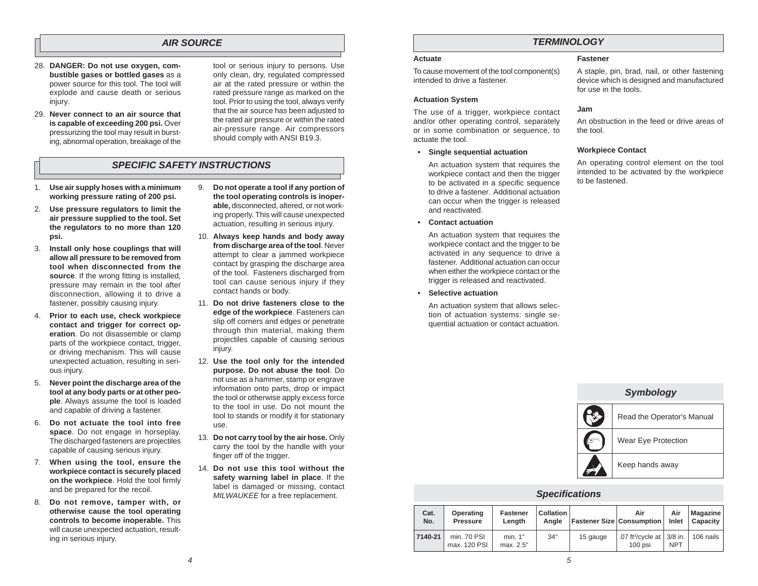## *AIR SOURCE*

- 28. **DANGER: Do not use oxygen, combustible gases or bottled gases** as a power source for this tool. The tool will explode and cause death or serious injury.
- 29. **Never connect to an air source that is capable of exceeding 200 psi. Over** pressurizing the tool may result in bursting, abnormal operation, breakage of the

tool or serious injury to persons. Use only clean, dry, regulated compressed air at the rated pressure or within the rated pressure range as marked on the tool. Prior to using the tool, always verify that the air source has been adjusted to the rated air pressure or within the rated air-pressure range. Air compressors should comply with ANSI B19.3.

## *SPECIFIC SAFETY INSTRUCTIONS*

- 1. **Use air supply hoses with a minimum working pressure rating of 200 psi.**
- 2. **Use pressure regulators to limit the air pressure supplied to the tool. Set the regulators to no more than 120 psi.**
- 3. **Install only hose couplings that will allow all pressure to be removed from tool when disconnected from the** source. If the wrong fitting is installed, pressure may remain in the tool after disconnection, allowing it to drive a fastener, possibly causing injury.
- 4. **Prior to each use, check workpiece contact and trigger for correct operation**. Do not disassemble or clamp parts of the workpiece contact, trigger, or driving mechanism. This will cause unexpected actuation, resulting in serious injury.
- 5. **Never point the discharge area of the tool at any body parts or at other people**. Always assume the tool is loaded and capable of driving a fastener.
- 6. **Do not actuate the tool into free space**. Do not engage in horseplay. The discharged fasteners are projectiles capable of causing serious injury.
- 7. **When using the tool, ensure the workpiece contact is securely placed**  on the workpiece. Hold the tool firmly and be prepared for the recoil.
- 8. **Do not remove, tamper with, or otherwise cause the tool operating controls to become inoperable.** This will cause unexpected actuation, resulting in serious injury.
- 9. **Do not operate a tool if any portion of the tool operating controls is inoperable,** disconnected, altered, or not working properly. This will cause unexpected actuation, resulting in serious injury.
- 10. **Always keep hands and body away from discharge area of the tool**. Never attempt to clear a jammed workpiece contact by grasping the discharge area of the tool. Fasteners discharged from tool can cause serious injury if they contact hands or body.
- 11. **Do not drive fasteners close to the edge of the workpiece**. Fasteners can slip off corners and edges or penetrate through thin material, making them projectiles capable of causing serious injury.
- 12. **Use the tool only for the intended purpose. Do not abuse the tool**. Do not use as a hammer, stamp or engrave information onto parts, drop or impact the tool or otherwise apply excess force to the tool in use. Do not mount the tool to stands or modify it for stationary use.
- 13. **Do not carry tool by the air hose.** Only carry the tool by the handle with your finger off of the trigger.
- 14. **Do not use this tool without the safety warning label in place**. If the label is damaged or missing, contact *MILWAUKEE* for a free replacement.

## *TERMINOLOGY*

#### **Actuate**

To cause movement of the tool component(s) intended to drive a fastener.

#### **Actuation System**

The use of a trigger, workpiece contact and/or other operating control, separately or in some combination or sequence, to actuate the tool.

 **• Single sequential actuation**

 An actuation system that requires the workpiece contact and then the trigger to be activated in a specific sequence to drive a fastener. Additional actuation can occur when the trigger is released and reactivated.

 **• Contact actuation**

 An actuation system that requires the workpiece contact and the trigger to be activated in any sequence to drive a fastener. Additional actuation can occur when either the workpiece contact or the trigger is released and reactivated.

 **• Selective actuation**

 An actuation system that allows selection of actuation systems: single sequential actuation or contact actuation.

#### **Fastener**

A staple, pin, brad, nail, or other fastening device which is designed and manufactured for use in the tools.

#### **Jam**

An obstruction in the feed or drive areas of the tool.

#### **Workpiece Contact**

An operating control element on the tool intended to be activated by the workpiece to be fastened.

| Symbology |                            |  |  |  |  |  |
|-----------|----------------------------|--|--|--|--|--|
|           | Read the Operator's Manual |  |  |  |  |  |
|           | Wear Eye Protection        |  |  |  |  |  |
|           | Keep hands away            |  |  |  |  |  |

### *Speci fi cations*

| Cat.<br>No. | Operating<br><b>Pressure</b> | <b>Fastener</b><br>Lenath | Collation<br>Anale | <b>Fastener Size Consumption</b> | Air                                                   | Air        | Magazine<br>Inlet   Capacity |
|-------------|------------------------------|---------------------------|--------------------|----------------------------------|-------------------------------------------------------|------------|------------------------------|
| 7140-21     | min. 70 PSI<br>max. 120 PSI  | min. 1"<br>max. 2.5"      | $34^\circ$         | 15 gauge                         | .07 ft <sup>3</sup> /cycle at $ 3/8$ in.<br>$100$ psi | <b>NPT</b> | 106 nails                    |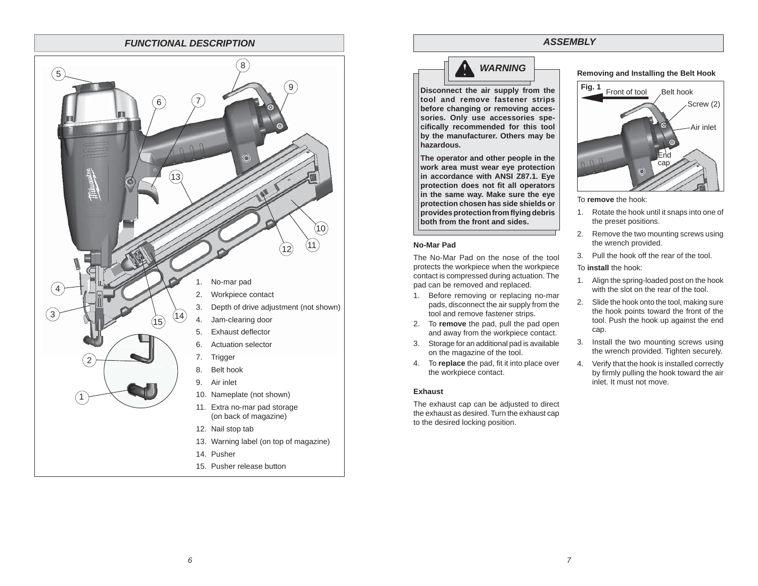#### *FUNCTIONAL DESCRIPTION*



# *WARNING*

**Disconnect the air supply from the tool and remove fastener strips before changing or removing accessories. Only use accessories specifi cally recommended for this tool by the manufacturer. Others may be hazardous.**

**The operator and other people in the work area must wear eye protection in accordance with ANSI Z87.1. Eye protection does not fit all operators in the same way. Make sure the eye protection chosen has side shields or provides protection from fl ying debris both from the front and sides.**

#### **No-Mar Pad**

The No-Mar Pad on the nose of the tool protects the workpiece when the workpiece contact is compressed during actuation. The pad can be removed and replaced.

- 1. Before removing or replacing no-mar pads, disconnect the air supply from the tool and remove fastener strips.
- 2. To **remove** the pad, pull the pad open and away from the workpiece contact.
- 3. Storage for an additional pad is available on the magazine of the tool.
- 4. To **replace** the pad, fit it into place over the workpiece contact.

#### **Exhaust**

The exhaust cap can be adjusted to direct the exhaust as desired. Turn the exhaust cap to the desired locking position.

#### **Removing and Installing the Belt Hook**



To **remove** the hook:

*ASSEMBLY*

- 1. Rotate the hook until it snaps into one of the preset positions.
- 2. Remove the two mounting screws using the wrench provided.
- 3. Pull the hook off the rear of the tool.

To **install** the hook:

- 1. Align the spring-loaded post on the hook with the slot on the rear of the tool.
- 2. Slide the hook onto the tool, making sure the hook points toward the front of the tool. Push the hook up against the end cap.
- 3. Install the two mounting screws using the wrench provided. Tighten securely.
- 4. Verify that the hook is installed correctly by firmly pulling the hook toward the air inlet. It must not move.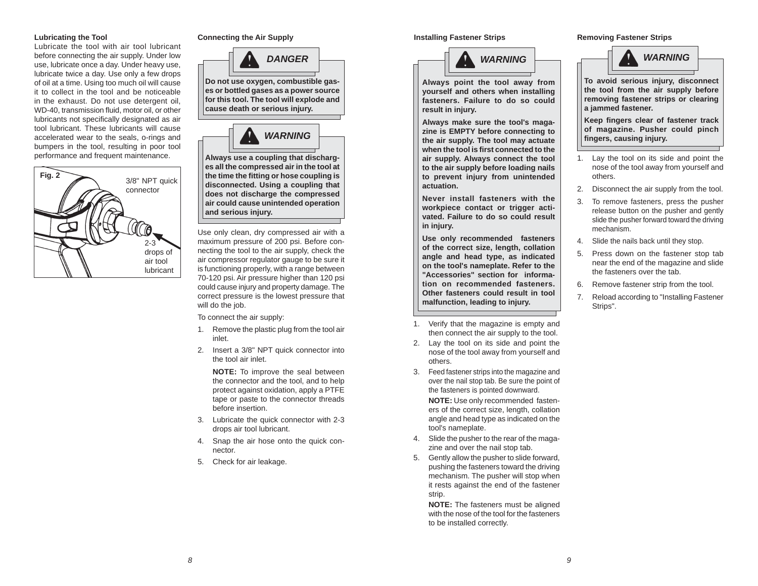#### **Lubricating the Tool**

Lubricate the tool with air tool lubricant before connecting the air supply. Under low use, lubricate once a day. Under heavy use, lubricate twice a day. Use only a few drops of oil at a time. Using too much oil will cause it to collect in the tool and be noticeable in the exhaust. Do not use detergent oil, WD-40, transmission fluid, motor oil, or other lubricants not specifically designated as air tool lubricant. These lubricants will cause accelerated wear to the seals, o-rings and bumpers in the tool, resulting in poor tool performance and frequent maintenance.





**Do not use oxygen, combustible gases or bottled gases as a power source for this tool. The tool will explode and cause death or serious injury.**



**Always use a coupling that discharges all the compressed air in the tool at the time the fi tting or hose coupling is disconnected. Using a coupling that does not discharge the compressed air could cause unintended operation and serious injury.**

Use only clean, dry compressed air with a maximum pressure of 200 psi. Before connecting the tool to the air supply, check the air compressor regulator gauge to be sure it is functioning properly, with a range between 70-120 psi. Air pressure higher than 120 psi could cause injury and property damage. The correct pressure is the lowest pressure that will do the job.

To connect the air supply:

- 1. Remove the plastic plug from the tool air inlet.
- 2. Insert a 3/8" NPT quick connector into the tool air inlet.

 **NOTE:** To improve the seal between the connector and the tool, and to help protect against oxidation, apply a PTFE tape or paste to the connector threads before insertion.

- 3. Lubricate the quick connector with 2-3 drops air tool lubricant.
- 4. Snap the air hose onto the quick connector.
- 5. Check for air leakage.

#### **Installing Fastener Strips Connecting the Air Supply Removing Fastener Strips Removing Fastener Strips Removing Fastener Strips**



**Always point the tool away from yourself and others when installing fasteners. Failure to do so could result in injury.**

**Always make sure the tool's magazine is EMPTY before connecting to the air supply. The tool may actuate when the tool is fi rst connected to the air supply. Always connect the tool to the air supply before loading nails to prevent injury from unintended actuation.** 

**Never install fasteners with the workpiece contact or trigger activated. Failure to do so could result in injury.**

**Use only recommended fasteners of the correct size, length, collation angle and head type, as indicated on the tool's nameplate. Refer to the "Accessories" section for information on recommended fasteners. Other fasteners could result in tool malfunction, leading to injury.** 

- 1. Verify that the magazine is empty and then connect the air supply to the tool.
- 2. Lay the tool on its side and point the nose of the tool away from yourself and others.
- 3. Feed fastener strips into the magazine and over the nail stop tab. Be sure the point of the fasteners is pointed downward.

**NOTE:** Use only recommended fasteners of the correct size, length, collation angle and head type as indicated on the tool's nameplate.

- 4. Slide the pusher to the rear of the magazine and over the nail stop tab.
- 5. Gently allow the pusher to slide forward, pushing the fasteners toward the driving mechanism. The pusher will stop when it rests against the end of the fastener strip.

**NOTE:** The fasteners must be aligned with the nose of the tool for the fasteners to be installed correctly.



**To avoid serious injury, disconnect the tool from the air supply before removing fastener strips or clearing a jammed fastener.**

**Keep fi ngers clear of fastener track of magazine. Pusher could pinch fi ngers, causing injury.**

- 1. Lay the tool on its side and point the nose of the tool away from yourself and others.
- 2. Disconnect the air supply from the tool.
- 3. To remove fasteners, press the pusher release button on the pusher and gently slide the pusher forward toward the driving mechanism.
- 4. Slide the nails back until they stop.
- 5. Press down on the fastener stop tab near the end of the magazine and slide the fasteners over the tab.
- Remove fastener strip from the tool.
- 7. Reload according to "Installing Fastener Strips".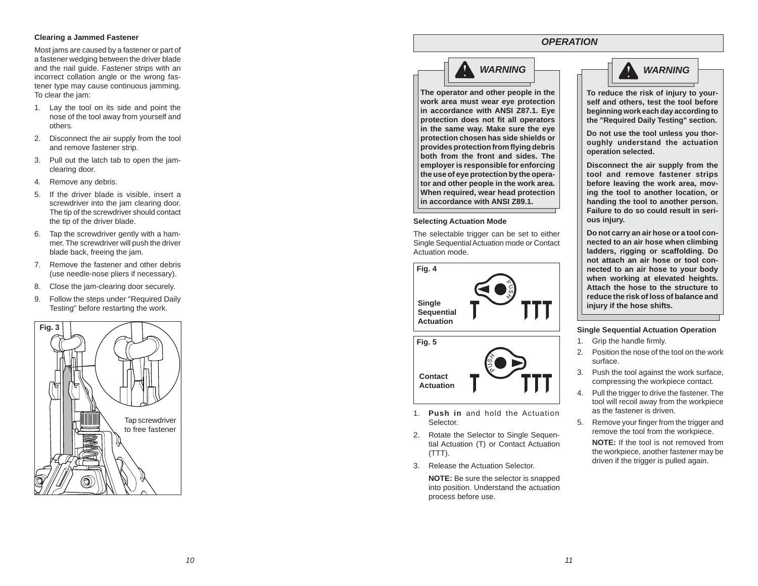#### **Clearing a Jammed Fastener**

Most jams are caused by a fastener or part of a fastener wedging between the driver blade and the nail guide. Fastener strips with an incorrect collation angle or the wrong fastener type may cause continuous jamming. To clear the jam:

- 1. Lay the tool on its side and point the nose of the tool away from yourself and others.
- 2. Disconnect the air supply from the tool and remove fastener strip.
- 3. Pull out the latch tab to open the jamclearing door.
- 4. Remove any debris.
- 5. If the driver blade is visible, insert a screwdriver into the jam clearing door. The tip of the screwdriver should contact the tip of the driver blade.
- 6. Tap the screwdriver gently with a hammer. The screwdriver will push the driver blade back, freeing the jam.
- 7. Remove the fastener and other debris (use needle-nose pliers if necessary).
- 8. Close the jam-clearing door securely.
- 9. Follow the steps under "Required Daily Testing" before restarting the work.



# *WARNING*

**The operator and other people in the work area must wear eye protection in accordance with ANSI Z87.1. Eye protection does not fit all operators in the same way. Make sure the eye protection chosen has side shields or provides protection from fl ying debris both from the front and sides. The employer is responsible for enforcing the use of eye protection by the operator and other people in the work area. When required, wear head protection in accordance with ANSI Z89.1.**

#### **Selecting Actuation Mode**

The selectable trigger can be set to either Single Sequential Actuation mode or Contact Actuation mode.

**Fig. 4 Single Sequential Actuation**



- 1. **Push in** and hold the Actuation Selector.
- 2. Rotate the Selector to Single Sequential Actuation (T) or Contact Actuation (TTT).
- 3. Release the Actuation Selector.

**NOTE:** Be sure the selector is snapped into position. Understand the actuation process before use.

## *OPERATION*



**To reduce the risk of injury to yourself and others, test the tool before beginning work each day according to the "Required Daily Testing" section.** 

**Do not use the tool unless you thoroughly understand the actuation operation selected.** 

**Disconnect the air supply from the tool and remove fastener strips before leaving the work area, moving the tool to another location, or handing the tool to another person. Failure to do so could result in serious injury.**

**Do not carry an air hose or a tool connected to an air hose when climbing ladders, rigging or scaffolding. Do not attach an air hose or tool connected to an air hose to your body when working at elevated heights. Attach the hose to the structure to reduce the risk of loss of balance and injury if the hose shifts.**

#### **Single Sequential Actuation Operation**

- 1. Grip the handle firmly.
- 2. Position the nose of the tool on the work surface.
- 3. Push the tool against the work surface, compressing the workpiece contact.
- 4. Pull the trigger to drive the fastener. The tool will recoil away from the workpiece as the fastener is driven.
- 5. Remove your finger from the trigger and remove the tool from the workpiece. **NOTE:** If the tool is not removed from the workpiece, another fastener may be driven if the trigger is pulled again.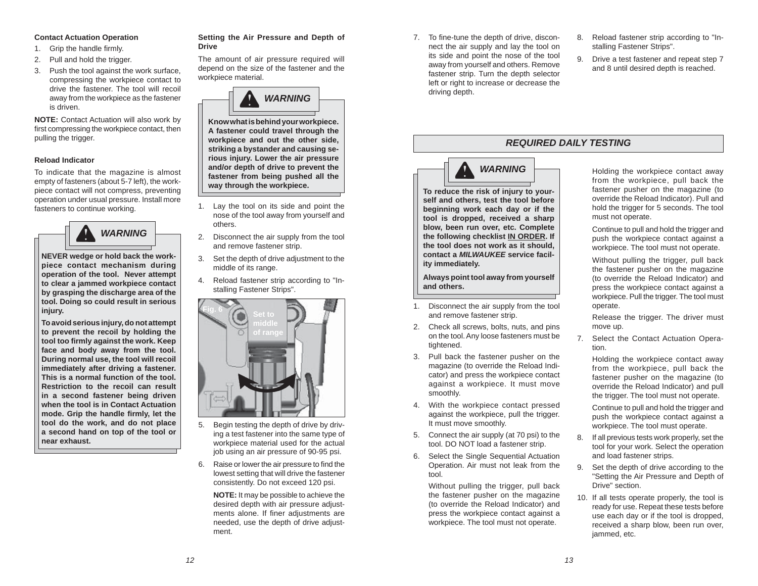#### **Contact Actuation Operation**

- 1. Grip the handle firmly.
- 2. Pull and hold the trigger.
- 3. Push the tool against the work surface, compressing the workpiece contact to drive the fastener. The tool will recoil away from the workpiece as the fastener is driven.

**NOTE:** Contact Actuation will also work by first compressing the workpiece contact, then pulling the trigger.

#### **Reload Indicator**

To indicate that the magazine is almost empty of fasteners (about 5-7 left), the workpiece contact will not compress, preventing operation under usual pressure. Install more fasteners to continue working.



**NEVER wedge or hold back the workpiece contact mechanism during operation of the tool. Never attempt to clear a jammed workpiece contact by grasping the discharge area of the tool. Doing so could result in serious injury.**

**To avoid serious injury, do not attempt to prevent the recoil by holding the tool too fi rmly against the work. Keep face and body away from the tool. During normal use, the tool will recoil immediately after driving a fastener. This is a normal function of the tool. Restriction to the recoil can result in a second fastener being driven when the tool is in Contact Actuation mode. Grip the handle fi rmly, let the tool do the work, and do not place a second hand on top of the tool or near exhaust.** 

#### **Setting the Air Pressure and Depth of Drive**

The amount of air pressure required will depend on the size of the fastener and the workpiece material.



**Know what is behind your workpiece. A fastener could travel through the workpiece and out the other side, striking a bystander and causing serious injury. Lower the air pressure and/or depth of drive to prevent the fastener from being pushed all the way through the workpiece.**

- 1. Lay the tool on its side and point the nose of the tool away from yourself and others.
- 2. Disconnect the air supply from the tool and remove fastener strip.
- 3. Set the depth of drive adjustment to the middle of its range.
- 4. Reload fastener strip according to "Installing Fastener Strips".



- 5. Begin testing the depth of drive by driving a test fastener into the same type of workpiece material used for the actual job using an air pressure of 90-95 psi.
- 6. Raise or lower the air pressure to find the lowest setting that will drive the fastener consistently. Do not exceed 120 psi.

**NOTE:** It may be possible to achieve the desired depth with air pressure adjustments alone. If finer adjustments are needed, use the depth of drive adjustment.

- 7. To fine-tune the depth of drive, disconnect the air supply and lay the tool on its side and point the nose of the tool away from yourself and others. Remove fastener strip. Turn the depth selector left or right to increase or decrease the driving depth.
- 8. Reload fastener strip according to "Installing Fastener Strips".
- 9. Drive a test fastener and repeat step 7 and 8 until desired depth is reached.

## *REQUIRED DAILY TESTING*



**To reduce the risk of injury to yourself and others, test the tool before beginning work each day or if the tool is dropped, received a sharp blow, been run over, etc. Complete the following checklist IN ORDER. If the tool does not work as it should, contact a** *MILWAUKEE* **service facility immediately.**

**Always point tool away from yourself and others.**

- 1. Disconnect the air supply from the tool and remove fastener strip.
- 2. Check all screws, bolts, nuts, and pins on the tool. Any loose fasteners must be tightened.
- 3. Pull back the fastener pusher on the magazine (to override the Reload Indicator) and press the workpiece contact against a workpiece. It must move smoothly.
- 4. With the workpiece contact pressed against the workpiece, pull the trigger. It must move smoothly.
- 5. Connect the air supply (at 70 psi) to the tool. DO NOT load a fastener strip.
- 6. Select the Single Sequential Actuation Operation. Air must not leak from the tool.

 Without pulling the trigger, pull back the fastener pusher on the magazine (to override the Reload Indicator) and press the workpiece contact against a workpiece. The tool must not operate.

 Holding the workpiece contact away from the workpiece, pull back the fastener pusher on the magazine (to override the Reload Indicator). Pull and hold the trigger for 5 seconds. The tool must not operate.

 Continue to pull and hold the trigger and push the workpiece contact against a workpiece. The tool must not operate.

 Without pulling the trigger, pull back the fastener pusher on the magazine (to override the Reload Indicator) and press the workpiece contact against a workpiece. Pull the trigger. The tool must operate.

 Release the trigger. The driver must move up.

7. Select the Contact Actuation Operation.

> Holding the workpiece contact away from the workpiece, pull back the fastener pusher on the magazine (to override the Reload Indicator) and pull the trigger. The tool must not operate.

 Continue to pull and hold the trigger and push the workpiece contact against a workpiece. The tool must operate.

- 8. If all previous tests work properly, set the tool for your work. Select the operation and load fastener strips.
- 9. Set the depth of drive according to the "Setting the Air Pressure and Depth of Drive" section.
- 10. If all tests operate properly, the tool is ready for use. Repeat these tests before use each day or if the tool is dropped, received a sharp blow, been run over, jammed, etc.